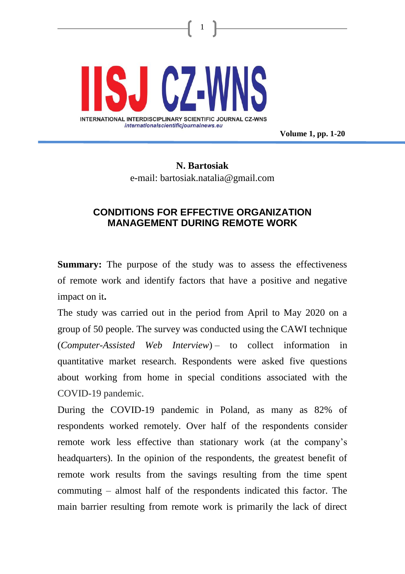

**Volume 1, pp. 1-20**

# **N. Bartosiak** e-mail: bartosiak.natalia@gmail.com

1

## **CONDITIONS FOR EFFECTIVE ORGANIZATION MANAGEMENT DURING REMOTE WORK**

**Summary:** The purpose of the study was to assess the effectiveness of remote work and identify factors that have a positive and negative impact on it**.**

The study was carried out in the period from April to May 2020 on a group of 50 people. The survey was conducted using the CAWI technique (*Computer-Assisted Web Interview*) – to collect information in quantitative market research. Respondents were asked five questions about working from home in special conditions associated with the COVID-19 pandemic.

During the COVID-19 pandemic in Poland, as many as 82% of respondents worked remotely. Over half of the respondents consider remote work less effective than stationary work (at the company's headquarters). In the opinion of the respondents, the greatest benefit of remote work results from the savings resulting from the time spent commuting – almost half of the respondents indicated this factor. The main barrier resulting from remote work is primarily the lack of direct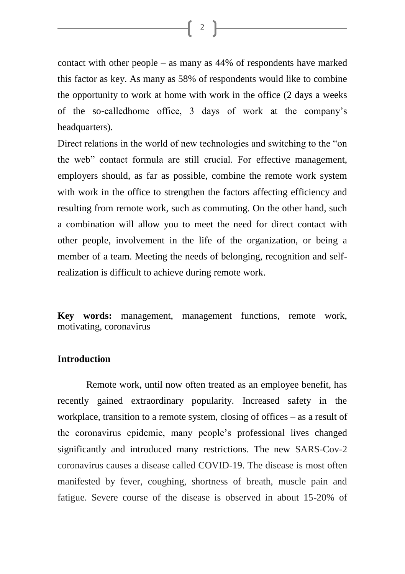$\begin{bmatrix} 2 \end{bmatrix}$ 

contact with other people – as many as 44% of respondents have marked this factor as key. As many as 58% of respondents would like to combine the opportunity to work at home with work in the office (2 days a weeks of the so-calledhome office, 3 days of work at the company's headquarters).

Direct relations in the world of new technologies and switching to the "on the web" contact formula are still crucial. For effective management, employers should, as far as possible, combine the remote work system with work in the office to strengthen the factors affecting efficiency and resulting from remote work, such as commuting. On the other hand, such a combination will allow you to meet the need for direct contact with other people, involvement in the life of the organization, or being a member of a team. Meeting the needs of belonging, recognition and selfrealization is difficult to achieve during remote work.

**Key words:** management, management functions, remote work, motivating, coronavirus

## **Introduction**

Remote work, until now often treated as an employee benefit, has recently gained extraordinary popularity. Increased safety in the workplace, transition to a remote system, closing of offices – as a result of the coronavirus epidemic, many people's professional lives changed significantly and introduced many restrictions. The new SARS-Cov-2 coronavirus causes a disease called COVID-19. The disease is most often manifested by fever, coughing, shortness of breath, muscle pain and fatigue. Severe course of the disease is observed in about 15-20% of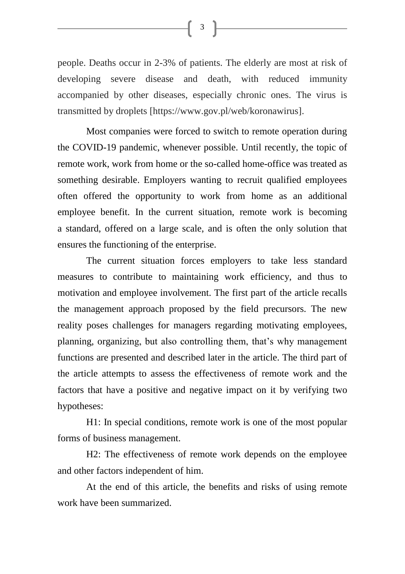people. Deaths occur in 2-3% of patients. The elderly are most at risk of developing severe disease and death, with reduced immunity accompanied by other diseases, especially chronic ones. The virus is transmitted by droplets [https://www.gov.pl/web/koronawirus].

Most companies were forced to switch to remote operation during the COVID-19 pandemic, whenever possible. Until recently, the topic of remote work, work from home or the so-called home-office was treated as something desirable. Employers wanting to recruit qualified employees often offered the opportunity to work from home as an additional employee benefit. In the current situation, remote work is becoming a standard, offered on a large scale, and is often the only solution that ensures the functioning of the enterprise.

The current situation forces employers to take less standard measures to contribute to maintaining work efficiency, and thus to motivation and employee involvement. The first part of the article recalls the management approach proposed by the field precursors. The new reality poses challenges for managers regarding motivating employees, planning, organizing, but also controlling them, that's why management functions are presented and described later in the article. The third part of the article attempts to assess the effectiveness of remote work and the factors that have a positive and negative impact on it by verifying two hypotheses:

H1: In special conditions, remote work is one of the most popular forms of business management.

H2: The effectiveness of remote work depends on the employee and other factors independent of him.

At the end of this article, the benefits and risks of using remote work have been summarized.

 $\begin{bmatrix} 3 \end{bmatrix}$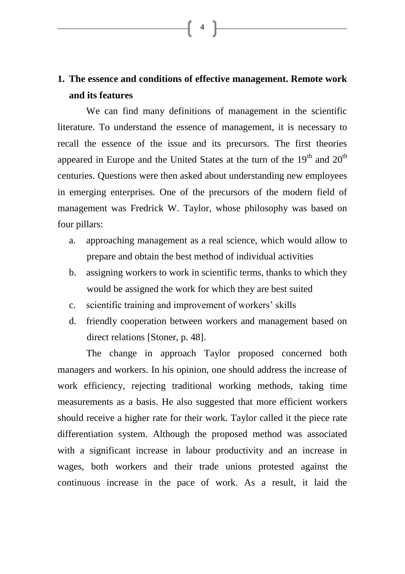# **1. The essence and conditions of effective management. Remote work and its features**

4

We can find many definitions of management in the scientific literature. To understand the essence of management, it is necessary to recall the essence of the issue and its precursors. The first theories appeared in Europe and the United States at the turn of the  $19<sup>th</sup>$  and  $20<sup>th</sup>$ centuries. Questions were then asked about understanding new employees in emerging enterprises. One of the precursors of the modern field of management was Fredrick W. Taylor, whose philosophy was based on four pillars:

- a. approaching management as a real science, which would allow to prepare and obtain the best method of individual activities
- b. assigning workers to work in scientific terms, thanks to which they would be assigned the work for which they are best suited
- c. scientific training and improvement of workers' skills
- d. friendly cooperation between workers and management based on direct relations [Stoner, p. 48].

The change in approach Taylor proposed concerned both managers and workers. In his opinion, one should address the increase of work efficiency, rejecting traditional working methods, taking time measurements as a basis. He also suggested that more efficient workers should receive a higher rate for their work. Taylor called it the piece rate differentiation system. Although the proposed method was associated with a significant increase in labour productivity and an increase in wages, both workers and their trade unions protested against the continuous increase in the pace of work. As a result, it laid the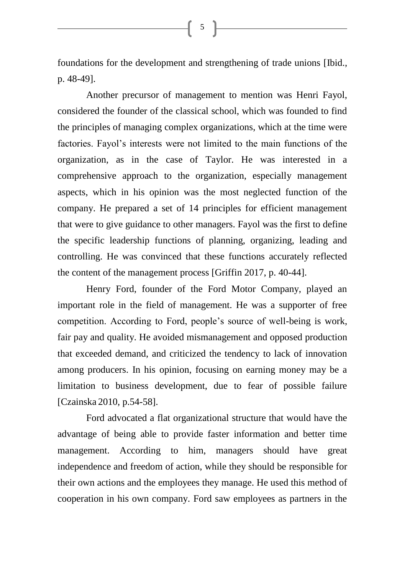foundations for the development and strengthening of trade unions [Ibid., p. 48-49].

5 ]

Another precursor of management to mention was Henri Fayol, considered the founder of the classical school, which was founded to find the principles of managing complex organizations, which at the time were factories. Fayol's interests were not limited to the main functions of the organization, as in the case of Taylor. He was interested in a comprehensive approach to the organization, especially management aspects, which in his opinion was the most neglected function of the company. He prepared a set of 14 principles for efficient management that were to give guidance to other managers. Fayol was the first to define the specific leadership functions of planning, organizing, leading and controlling. He was convinced that these functions accurately reflected the content of the management process [Griffin 2017, p. 40-44].

Henry Ford, founder of the Ford Motor Company, played an important role in the field of management. He was a supporter of free competition. According to Ford, people's source of well-being is work, fair pay and quality. He avoided mismanagement and opposed production that exceeded demand, and criticized the tendency to lack of innovation among producers. In his opinion, focusing on earning money may be a limitation to business development, due to fear of possible failure [Czainska 2010, p.54-58].

Ford advocated a flat organizational structure that would have the advantage of being able to provide faster information and better time management. According to him, managers should have great independence and freedom of action, while they should be responsible for their own actions and the employees they manage. He used this method of cooperation in his own company. Ford saw employees as partners in the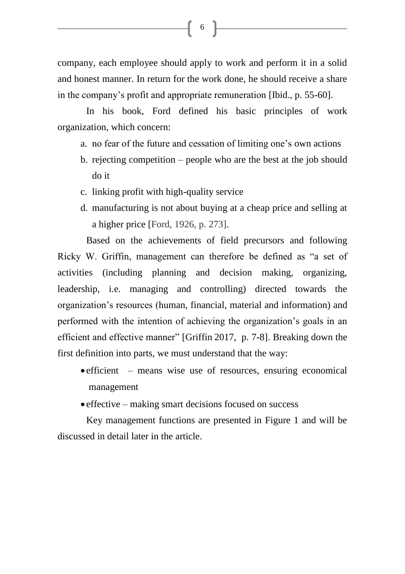company, each employee should apply to work and perform it in a solid and honest manner. In return for the work done, he should receive a share in the company's profit and appropriate remuneration [Ibid., p. 55-60].

[ 6 ]<br>|

In his book, Ford defined his basic principles of work organization, which concern:

- a. no fear of the future and cessation of limiting one's own actions
- b. rejecting competition people who are the best at the job should do it
- c. linking profit with high-quality service
- d. manufacturing is not about buying at a cheap price and selling at a higher price [Ford, 1926, p. 273].

Based on the achievements of field precursors and following Ricky W. Griffin, management can therefore be defined as "a set of activities (including planning and decision making, organizing, leadership, i.e. managing and controlling) directed towards the organization's resources (human, financial, material and information) and performed with the intention of achieving the organization's goals in an efficient and effective manner" [Griffin 2017, p. 7-8]. Breaking down the first definition into parts, we must understand that the way:

- efficient means wise use of resources, ensuring economical management
- effective making smart decisions focused on success

Key management functions are presented in Figure 1 and will be discussed in detail later in the article.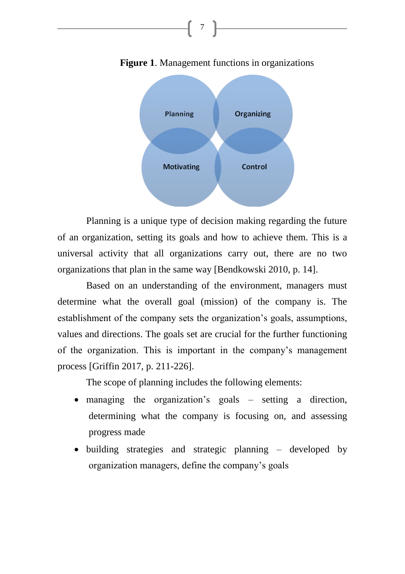

**Figure 1**. Management functions in organizations

7

Planning is a unique type of decision making regarding the future of an organization, setting its goals and how to achieve them. This is a universal activity that all organizations carry out, there are no two organizations that plan in the same way [Bendkowski 2010, p. 14].

Based on an understanding of the environment, managers must determine what the overall goal (mission) of the company is. The establishment of the company sets the organization's goals, assumptions, values and directions. The goals set are crucial for the further functioning of the organization. This is important in the company's management process [Griffin 2017, p. 211-226].

The scope of planning includes the following elements:

- managing the organization's goals setting a direction, determining what the company is focusing on, and assessing progress made
- building strategies and strategic planning developed by organization managers, define the company's goals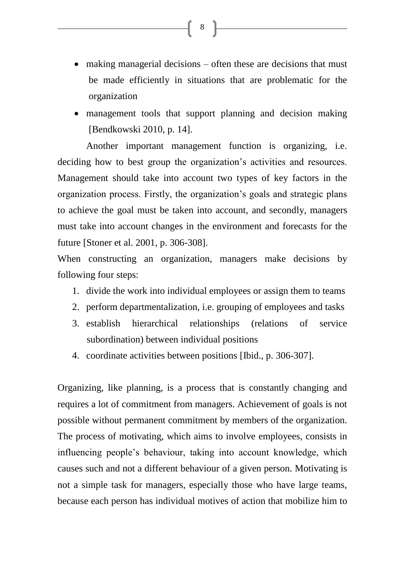- making managerial decisions often these are decisions that must be made efficiently in situations that are problematic for the organization
- management tools that support planning and decision making [Bendkowski 2010, p. 14].

Another important management function is organizing, i.e. deciding how to best group the organization's activities and resources. Management should take into account two types of key factors in the organization process. Firstly, the organization's goals and strategic plans to achieve the goal must be taken into account, and secondly, managers must take into account changes in the environment and forecasts for the future [Stoner et al. 2001, p. 306-308].

When constructing an organization, managers make decisions by following four steps:

- 1. divide the work into individual employees or assign them to teams
- 2. perform departmentalization, i.e. grouping of employees and tasks
- 3. establish hierarchical relationships (relations of service subordination) between individual positions
- 4. coordinate activities between positions [Ibid., p. 306-307].

Organizing, like planning, is a process that is constantly changing and requires a lot of commitment from managers. Achievement of goals is not possible without permanent commitment by members of the organization. The process of motivating, which aims to involve employees, consists in influencing people's behaviour, taking into account knowledge, which causes such and not a different behaviour of a given person. Motivating is not a simple task for managers, especially those who have large teams, because each person has individual motives of action that mobilize him to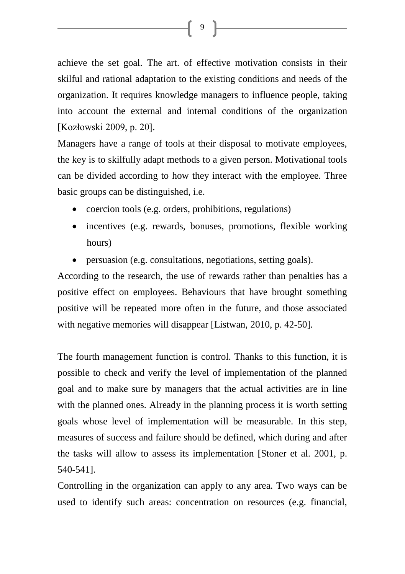achieve the set goal. The art. of effective motivation consists in their skilful and rational adaptation to the existing conditions and needs of the organization. It requires knowledge managers to influence people, taking into account the external and internal conditions of the organization [Kozłowski 2009, p. 20].

Managers have a range of tools at their disposal to motivate employees, the key is to skilfully adapt methods to a given person. Motivational tools can be divided according to how they interact with the employee. Three basic groups can be distinguished, i.e.

- coercion tools (e.g. orders, prohibitions, regulations)
- incentives (e.g. rewards, bonuses, promotions, flexible working hours)
- persuasion (e.g. consultations, negotiations, setting goals).

According to the research, the use of rewards rather than penalties has a positive effect on employees. Behaviours that have brought something positive will be repeated more often in the future, and those associated with negative memories will disappear [Listwan, 2010, p. 42-50].

The fourth management function is control. Thanks to this function, it is possible to check and verify the level of implementation of the planned goal and to make sure by managers that the actual activities are in line with the planned ones. Already in the planning process it is worth setting goals whose level of implementation will be measurable. In this step, measures of success and failure should be defined, which during and after the tasks will allow to assess its implementation [Stoner et al. 2001, p. 540-541].

Controlling in the organization can apply to any area. Two ways can be used to identify such areas: concentration on resources (e.g. financial,

[9]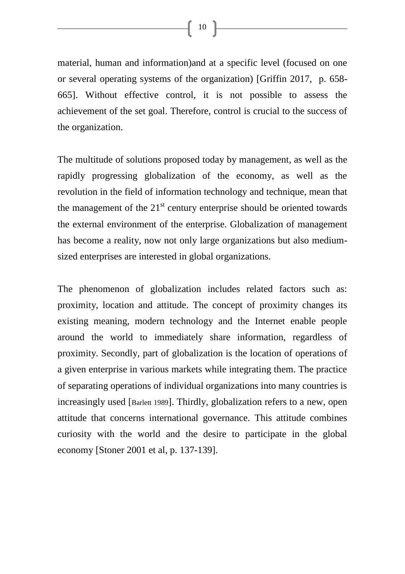$\begin{bmatrix} 10 \end{bmatrix}$ 

material, human and information)and at a specific level (focused on one or several operating systems of the organization) [Griffin 2017, p. 658- 665]. Without effective control, it is not possible to assess the achievement of the set goal. Therefore, control is crucial to the success of the organization.

The multitude of solutions proposed today by management, as well as the rapidly progressing globalization of the economy, as well as the revolution in the field of information technology and technique, mean that the management of the  $21<sup>st</sup>$  century enterprise should be oriented towards the external environment of the enterprise. Globalization of management has become a reality, now not only large organizations but also mediumsized enterprises are interested in global organizations.

The phenomenon of globalization includes related factors such as: proximity, location and attitude. The concept of proximity changes its existing meaning, modern technology and the Internet enable people around the world to immediately share information, regardless of proximity. Secondly, part of globalization is the location of operations of a given enterprise in various markets while integrating them. The practice of separating operations of individual organizations into many countries is increasingly used [Barlett 1989]. Thirdly, globalization refers to a new, open attitude that concerns international governance. This attitude combines curiosity with the world and the desire to participate in the global economy [Stoner 2001 et al, p. 137-139].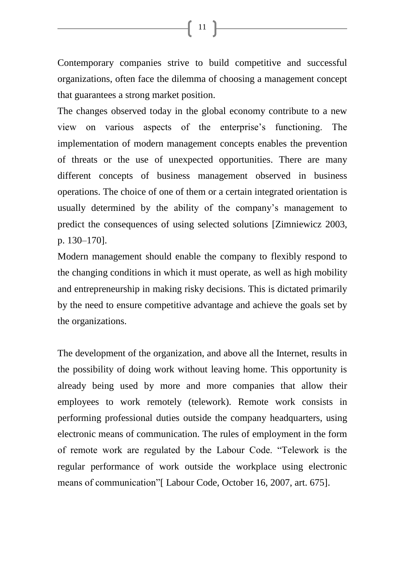Contemporary companies strive to build competitive and successful organizations, often face the dilemma of choosing a management concept that guarantees a strong market position.

The changes observed today in the global economy contribute to a new view on various aspects of the enterprise's functioning. The implementation of modern management concepts enables the prevention of threats or the use of unexpected opportunities. There are many different concepts of business management observed in business operations. The choice of one of them or a certain integrated orientation is usually determined by the ability of the company's management to predict the consequences of using selected solutions [Zimniewicz 2003, p. 130–170].

Modern management should enable the company to flexibly respond to the changing conditions in which it must operate, as well as high mobility and entrepreneurship in making risky decisions. This is dictated primarily by the need to ensure competitive advantage and achieve the goals set by the organizations.

The development of the organization, and above all the Internet, results in the possibility of doing work without leaving home. This opportunity is already being used by more and more companies that allow their employees to work remotely (telework). Remote work consists in performing professional duties outside the company headquarters, using electronic means of communication. The rules of employment in the form of remote work are regulated by the Labour Code. "Telework is the regular performance of work outside the workplace using electronic means of communication"[ Labour Code, October 16, 2007, art. 675].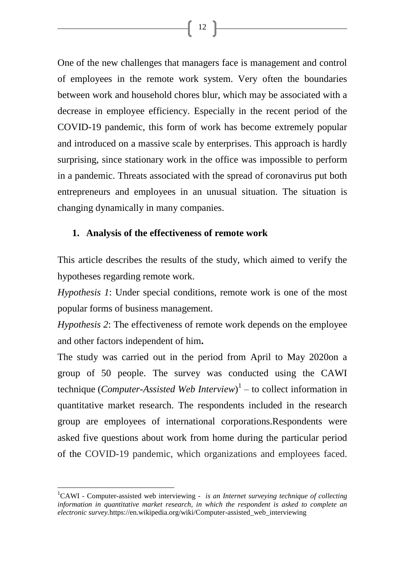One of the new challenges that managers face is management and control of employees in the remote work system. Very often the boundaries between work and household chores blur, which may be associated with a decrease in employee efficiency. Especially in the recent period of the COVID-19 pandemic, this form of work has become extremely popular and introduced on a massive scale by enterprises. This approach is hardly surprising, since stationary work in the office was impossible to perform in a pandemic. Threats associated with the spread of coronavirus put both entrepreneurs and employees in an unusual situation. The situation is changing dynamically in many companies.

## **1. Analysis of the effectiveness of remote work**

This article describes the results of the study, which aimed to verify the hypotheses regarding remote work.

*Hypothesis 1*: Under special conditions, remote work is one of the most popular forms of business management.

*Hypothesis 2*: The effectiveness of remote work depends on the employee and other factors independent of him**.**

The study was carried out in the period from April to May 2020on a group of 50 people. The survey was conducted using the CAWI technique (*Computer-Assisted Web Interview*) 1 – to collect information in quantitative market research. The respondents included in the research group are employees of international corporations.Respondents were asked five questions about work from home during the particular period of the COVID-19 pandemic, which organizations and employees faced.

 $\overline{\phantom{a}}$ 

<sup>&</sup>lt;sup>1</sup>CAWI - Computer-assisted web interviewing - *is an Internet surveying technique of collecting information in quantitative market research, in which the respondent is asked to complete an electronic survey.*[https://en.wikipedia.org/wiki/Computer-assisted\\_web\\_interviewing](https://en.wikipedia.org/wiki/Computer-assisted_web_interviewing)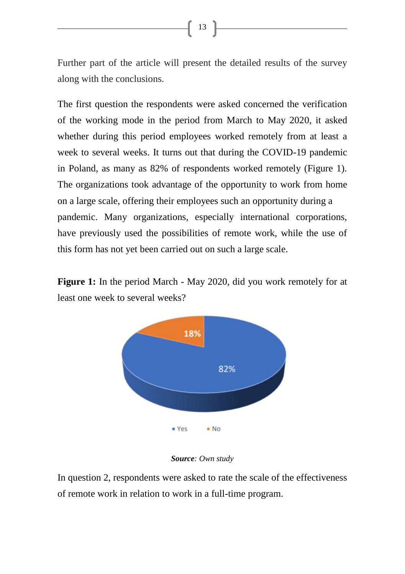Further part of the article will present the detailed results of the survey along with the conclusions.

The first question the respondents were asked concerned the verification of the working mode in the period from March to May 2020, it asked whether during this period employees worked remotely from at least a week to several weeks. It turns out that during the COVID-19 pandemic in Poland, as many as 82% of respondents worked remotely (Figure 1). The organizations took advantage of the opportunity to work from home on a large scale, offering their employees such an opportunity during a pandemic. Many organizations, especially international corporations, have previously used the possibilities of remote work, while the use of this form has not yet been carried out on such a large scale.

**Figure 1:** In the period March - May 2020, did you work remotely for at least one week to several weeks?



### *Source: Own study*

In question 2, respondents were asked to rate the scale of the effectiveness of remote work in relation to work in a full-time program.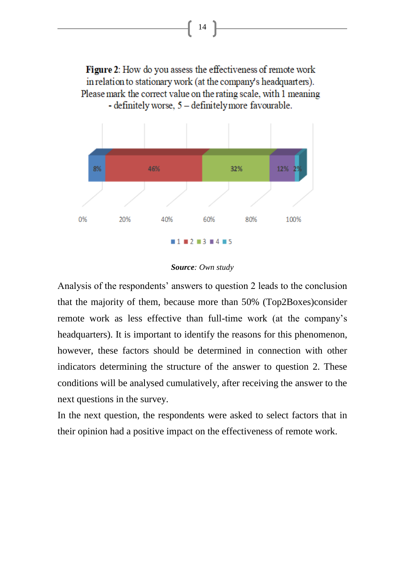Figure 2: How do you assess the effectiveness of remote work in relation to stationary work (at the company's headquarters). Please mark the correct value on the rating scale, with 1 meaning - definitely worse, 5 - definitely more favourable.



#### *Source: Own study*

Analysis of the respondents' answers to question 2 leads to the conclusion that the majority of them, because more than 50% (Top2Boxes)consider remote work as less effective than full-time work (at the company's headquarters). It is important to identify the reasons for this phenomenon, however, these factors should be determined in connection with other indicators determining the structure of the answer to question 2. These conditions will be analysed cumulatively, after receiving the answer to the next questions in the survey.

In the next question, the respondents were asked to select factors that in their opinion had a positive impact on the effectiveness of remote work.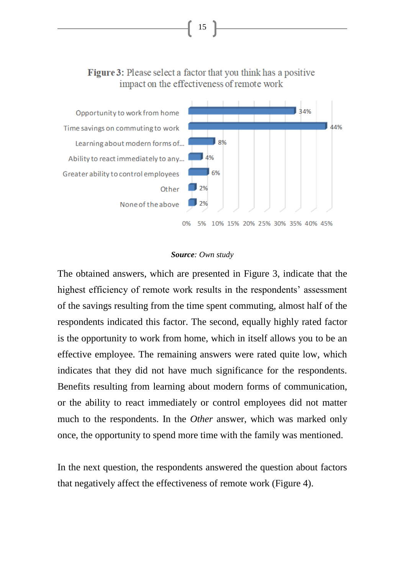

15

#### *Source: Own study*

The obtained answers, which are presented in Figure 3, indicate that the highest efficiency of remote work results in the respondents' assessment of the savings resulting from the time spent commuting, almost half of the respondents indicated this factor. The second, equally highly rated factor is the opportunity to work from home, which in itself allows you to be an effective employee. The remaining answers were rated quite low, which indicates that they did not have much significance for the respondents. Benefits resulting from learning about modern forms of communication, or the ability to react immediately or control employees did not matter much to the respondents. In the *Other* answer, which was marked only once, the opportunity to spend more time with the family was mentioned.

In the next question, the respondents answered the question about factors that negatively affect the effectiveness of remote work (Figure 4).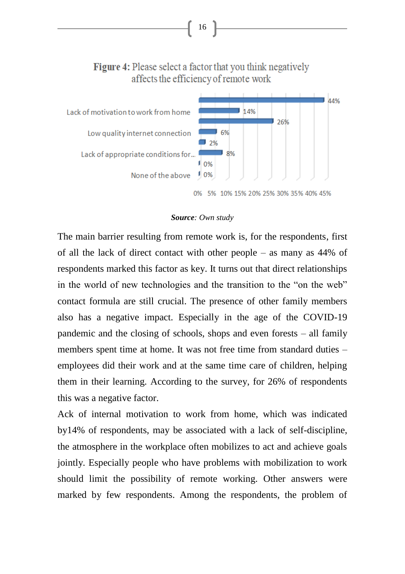

16

#### *Source: Own study*

The main barrier resulting from remote work is, for the respondents, first of all the lack of direct contact with other people – as many as 44% of respondents marked this factor as key. It turns out that direct relationships in the world of new technologies and the transition to the "on the web" contact formula are still crucial. The presence of other family members also has a negative impact. Especially in the age of the COVID-19 pandemic and the closing of schools, shops and even forests – all family members spent time at home. It was not free time from standard duties – employees did their work and at the same time care of children, helping them in their learning. According to the survey, for 26% of respondents this was a negative factor.

Ack of internal motivation to work from home, which was indicated by14% of respondents, may be associated with a lack of self-discipline, the atmosphere in the workplace often mobilizes to act and achieve goals jointly. Especially people who have problems with mobilization to work should limit the possibility of remote working. Other answers were marked by few respondents. Among the respondents, the problem of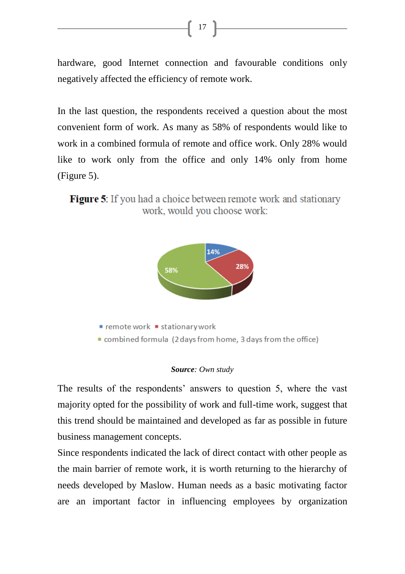hardware, good Internet connection and favourable conditions only negatively affected the efficiency of remote work.

 $\begin{bmatrix} 17 \end{bmatrix}$ 

In the last question, the respondents received a question about the most convenient form of work. As many as 58% of respondents would like to work in a combined formula of remote and office work. Only 28% would like to work only from the office and only 14% only from home (Figure 5).

**Figure 5:** If you had a choice between remote work and stationary work, would you choose work:



#### *Source: Own study*

The results of the respondents' answers to question 5, where the vast majority opted for the possibility of work and full-time work, suggest that this trend should be maintained and developed as far as possible in future business management concepts.

Since respondents indicated the lack of direct contact with other people as the main barrier of remote work, it is worth returning to the hierarchy of needs developed by Maslow. Human needs as a basic motivating factor are an important factor in influencing employees by organization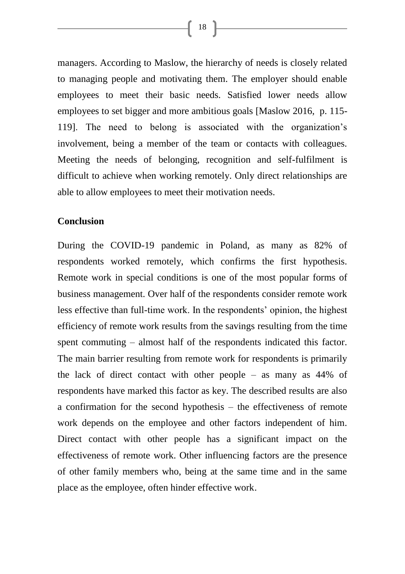managers. According to Maslow, the hierarchy of needs is closely related to managing people and motivating them. The employer should enable employees to meet their basic needs. Satisfied lower needs allow employees to set bigger and more ambitious goals [Maslow 2016, p. 115- 119]. The need to belong is associated with the organization's involvement, being a member of the team or contacts with colleagues. Meeting the needs of belonging, recognition and self-fulfilment is difficult to achieve when working remotely. Only direct relationships are able to allow employees to meet their motivation needs.

## **Conclusion**

During the COVID-19 pandemic in Poland, as many as 82% of respondents worked remotely, which confirms the first hypothesis. Remote work in special conditions is one of the most popular forms of business management. Over half of the respondents consider remote work less effective than full-time work. In the respondents' opinion, the highest efficiency of remote work results from the savings resulting from the time spent commuting – almost half of the respondents indicated this factor. The main barrier resulting from remote work for respondents is primarily the lack of direct contact with other people – as many as 44% of respondents have marked this factor as key. The described results are also a confirmation for the second hypothesis – the effectiveness of remote work depends on the employee and other factors independent of him. Direct contact with other people has a significant impact on the effectiveness of remote work. Other influencing factors are the presence of other family members who, being at the same time and in the same place as the employee, often hinder effective work.

 $\begin{bmatrix} 18 \end{bmatrix}$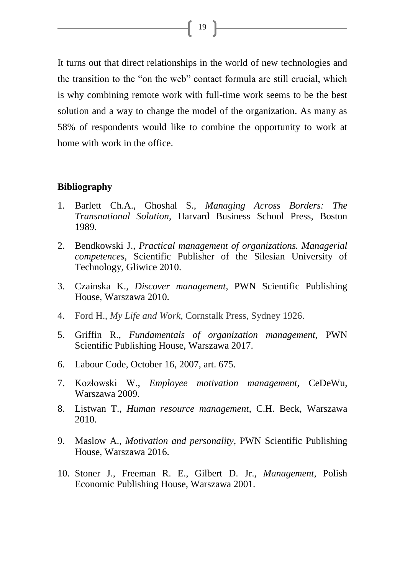It turns out that direct relationships in the world of new technologies and the transition to the "on the web" contact formula are still crucial, which is why combining remote work with full-time work seems to be the best solution and a way to change the model of the organization. As many as 58% of respondents would like to combine the opportunity to work at home with work in the office.

## **Bibliography**

- 1. Barlett Ch.A., Ghoshal S., *Managing Across Borders: The Transnational Solution*, Harvard Business School Press, Boston 1989.
- 2. Bendkowski J., *Practical management of organizations. Managerial competences,* Scientific Publisher of the Silesian University of Technology, Gliwice 2010.
- 3. Czainska K., *Discover management*, PWN Scientific Publishing House, Warszawa 2010.
- 4. Ford H., *My Life and Work*, Cornstalk Press, Sydney 1926.
- 5. Griffin R., *Fundamentals of organization management,* PWN Scientific Publishing House, Warszawa 2017.
- 6. Labour Code, October 16, 2007, art. 675.
- 7. Kozłowski W., *Employee motivation management*, CeDeWu, Warszawa 2009.
- 8. Listwan T., *Human resource management*, C.H. Beck, Warszawa 2010.
- 9. Maslow A., *Motivation and personality*, PWN Scientific Publishing House, Warszawa 2016.
- 10. Stoner J., Freeman R. E., Gilbert D. Jr., *Management*, Polish Economic Publishing House, Warszawa 2001.

 $\left\{ \begin{array}{c} 19 \end{array} \right\}$